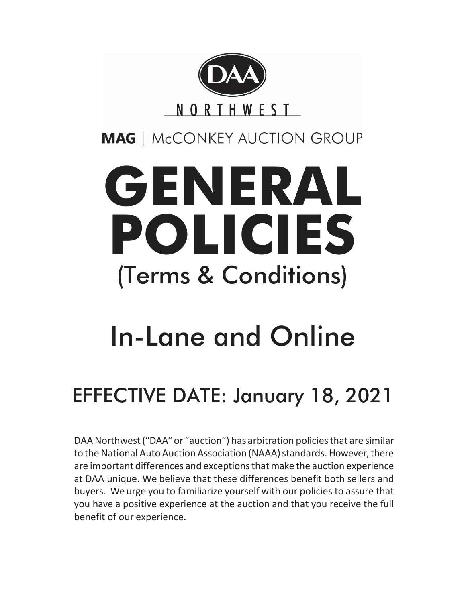

**MAG** | McCONKEY AUCTION GROUP

# **GENERAL POLICIES** (Terms & Conditions)

## In-Lane and Online

## EFFECTIVE DATE: January 18, 2021

DAA Northwest("DAA"or "auction") has arbitration policiesthat are similar to the National Auto Auction Association (NAAA) standards. However, there are important differences and exceptions that make the auction experience at DAA unique. We believe that these differences benefit both sellers and buyers. We urge you to familiarize yourself with our policies to assure that you have a positive experience at the auction and that you receive the full benefit of our experience.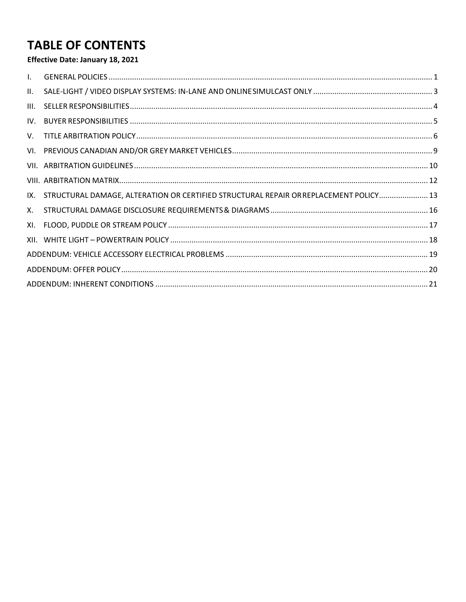## **TABLE OF CONTENTS**

#### Effective Date: January 18, 2021

| $\mathbf{L}$ |                                                                                       |  |
|--------------|---------------------------------------------------------------------------------------|--|
| II.          |                                                                                       |  |
| III.         |                                                                                       |  |
|              |                                                                                       |  |
|              |                                                                                       |  |
|              |                                                                                       |  |
|              |                                                                                       |  |
|              |                                                                                       |  |
| IX.          | STRUCTURAL DAMAGE, ALTERATION OR CERTIFIED STRUCTURAL REPAIR OR REPLACEMENT POLICY 13 |  |
| X.           |                                                                                       |  |
| XI.          |                                                                                       |  |
|              |                                                                                       |  |
|              |                                                                                       |  |
|              |                                                                                       |  |
|              |                                                                                       |  |
|              |                                                                                       |  |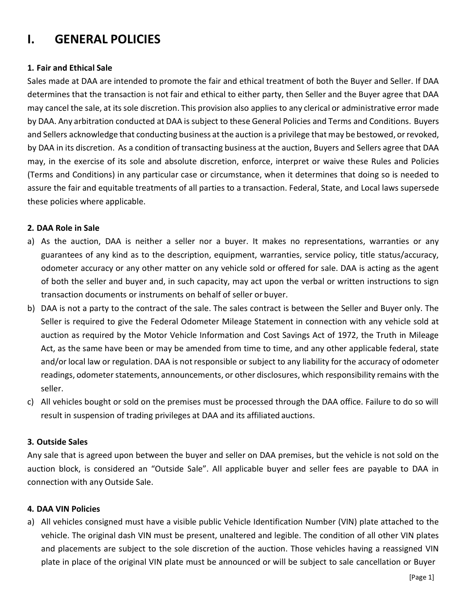## <span id="page-2-0"></span>**I. GENERAL POLICIES**

#### **1. Fair and Ethical Sale**

Sales made at DAA are intended to promote the fair and ethical treatment of both the Buyer and Seller. If DAA determines that the transaction is not fair and ethical to either party, then Seller and the Buyer agree that DAA may cancel the sale, at itssole discretion. This provision also applies to any clerical or administrative error made by DAA. Any arbitration conducted at DAA is subject to these General Policies and Terms and Conditions. Buyers and Sellers acknowledge that conducting business at the auction is a privilege that may be bestowed, orrevoked, by DAA in its discretion. As a condition of transacting business at the auction, Buyers and Sellers agree that DAA may, in the exercise of its sole and absolute discretion, enforce, interpret or waive these Rules and Policies (Terms and Conditions) in any particular case or circumstance, when it determines that doing so is needed to assure the fair and equitable treatments of all parties to a transaction. Federal, State, and Local laws supersede these policies where applicable.

#### **2. DAA Role in Sale**

- a) As the auction, DAA is neither a seller nor a buyer. It makes no representations, warranties or any guarantees of any kind as to the description, equipment, warranties, service policy, title status/accuracy, odometer accuracy or any other matter on any vehicle sold or offered for sale. DAA is acting as the agent of both the seller and buyer and, in such capacity, may act upon the verbal or written instructions to sign transaction documents or instruments on behalf of seller or buyer.
- b) DAA is not a party to the contract of the sale. The sales contract is between the Seller and Buyer only. The Seller is required to give the Federal Odometer Mileage Statement in connection with any vehicle sold at auction as required by the Motor Vehicle Information and Cost Savings Act of 1972, the Truth in Mileage Act, as the same have been or may be amended from time to time, and any other applicable federal, state and/or local law or regulation. DAA is not responsible or subject to any liability for the accuracy of odometer readings, odometer statements, announcements, or other disclosures, which responsibility remains with the seller.
- c) All vehicles bought or sold on the premises must be processed through the DAA office. Failure to do so will result in suspension of trading privileges at DAA and its affiliated auctions.

#### **3. Outside Sales**

Any sale that is agreed upon between the buyer and seller on DAA premises, but the vehicle is not sold on the auction block, is considered an "Outside Sale". All applicable buyer and seller fees are payable to DAA in connection with any Outside Sale.

#### **4. DAA VIN Policies**

a) All vehicles consigned must have a visible public Vehicle Identification Number (VIN) plate attached to the vehicle. The original dash VIN must be present, unaltered and legible. The condition of all other VIN plates and placements are subject to the sole discretion of the auction. Those vehicles having a reassigned VIN plate in place of the original VIN plate must be announced or will be subject to sale cancellation or Buyer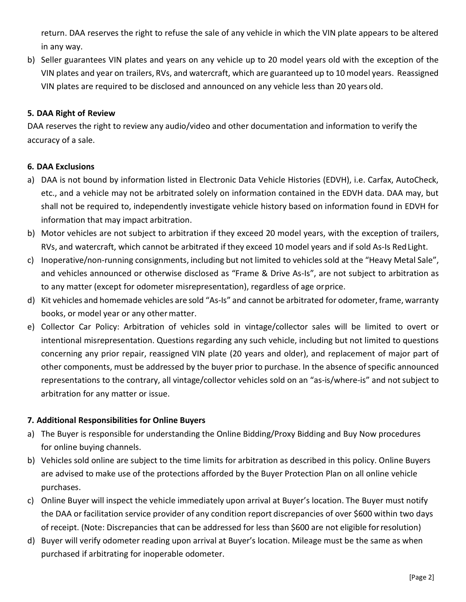return. DAA reserves the right to refuse the sale of any vehicle in which the VIN plate appears to be altered in any way.

b) Seller guarantees VIN plates and years on any vehicle up to 20 model years old with the exception of the VIN plates and year on trailers, RVs, and watercraft, which are guaranteed up to 10 model years. Reassigned VIN plates are required to be disclosed and announced on any vehicle less than 20 years old.

#### **5. DAA Right of Review**

DAA reserves the right to review any audio/video and other documentation and information to verify the accuracy of a sale.

#### **6. DAA Exclusions**

- a) DAA is not bound by information listed in Electronic Data Vehicle Histories (EDVH), i.e. Carfax, AutoCheck, etc., and a vehicle may not be arbitrated solely on information contained in the EDVH data. DAA may, but shall not be required to, independently investigate vehicle history based on information found in EDVH for information that may impact arbitration.
- b) Motor vehicles are not subject to arbitration if they exceed 20 model years, with the exception of trailers, RVs, and watercraft, which cannot be arbitrated if they exceed 10 model years and if sold As-Is RedLight.
- c) Inoperative/non-running consignments, including but not limited to vehicles sold at the "Heavy Metal Sale", and vehicles announced or otherwise disclosed as "Frame & Drive As-Is", are not subject to arbitration as to any matter (except for odometer misrepresentation), regardless of age orprice.
- d) Kit vehicles and homemade vehicles are sold "As-Is" and cannot be arbitrated for odometer, frame, warranty books, or model year or any other matter.
- e) Collector Car Policy: Arbitration of vehicles sold in vintage/collector sales will be limited to overt or intentional misrepresentation. Questions regarding any such vehicle, including but not limited to questions concerning any prior repair, reassigned VIN plate (20 years and older), and replacement of major part of other components, must be addressed by the buyer prior to purchase. In the absence ofspecific announced representations to the contrary, all vintage/collector vehicles sold on an "as-is/where-is" and not subject to arbitration for any matter or issue.

#### **7. Additional Responsibilities for Online Buyers**

- a) The Buyer is responsible for understanding the Online Bidding/Proxy Bidding and Buy Now procedures for online buying channels.
- b) Vehicles sold online are subject to the time limits for arbitration as described in this policy. Online Buyers are advised to make use of the protections afforded by the Buyer Protection Plan on all online vehicle purchases.
- c) Online Buyer will inspect the vehicle immediately upon arrival at Buyer's location. The Buyer must notify the DAA or facilitation service provider of any condition report discrepancies of over \$600 within two days of receipt. (Note: Discrepancies that can be addressed for less than \$600 are not eligible forresolution)
- d) Buyer will verify odometer reading upon arrival at Buyer's location. Mileage must be the same as when purchased if arbitrating for inoperable odometer.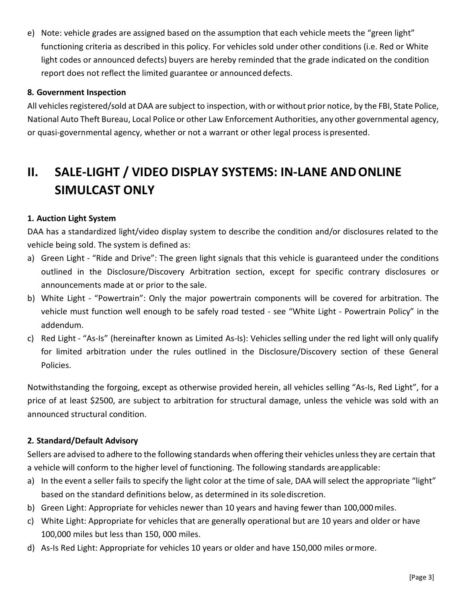e) Note: vehicle grades are assigned based on the assumption that each vehicle meets the "green light" functioning criteria as described in this policy. For vehicles sold under other conditions (i.e. Red or White light codes or announced defects) buyers are hereby reminded that the grade indicated on the condition report does not reflect the limited guarantee or announced defects.

#### **8. Government Inspection**

All vehicles registered/sold at DAA are subject to inspection, with or without prior notice, by the FBI, State Police, National Auto Theft Bureau, Local Police or other Law Enforcement Authorities, any other governmental agency, or quasi-governmental agency, whether or not a warrant or other legal process ispresented.

## <span id="page-4-0"></span>**II. SALE-LIGHT / VIDEO DISPLAY SYSTEMS: IN-LANE ANDONLINE SIMULCAST ONLY**

#### **1. Auction Light System**

DAA has a standardized light/video display system to describe the condition and/or disclosures related to the vehicle being sold. The system is defined as:

- a) Green Light "Ride and Drive": The green light signals that this vehicle is guaranteed under the conditions outlined in the Disclosure/Discovery Arbitration section, except for specific contrary disclosures or announcements made at or prior to the sale.
- b) White Light "Powertrain": Only the major powertrain components will be covered for arbitration. The vehicle must function well enough to be safely road tested - see "White Light - Powertrain Policy" in the addendum.
- c) Red Light "As-Is" (hereinafter known as Limited As-Is): Vehicles selling under the red light will only qualify for limited arbitration under the rules outlined in the Disclosure/Discovery section of these General Policies.

Notwithstanding the forgoing, except as otherwise provided herein, all vehicles selling "As-Is, Red Light", for a price of at least \$2500, are subject to arbitration for structural damage, unless the vehicle was sold with an announced structural condition.

#### **2. Standard/Default Advisory**

Sellers are advised to adhere to the following standards when offering their vehicles unlessthey are certain that a vehicle will conform to the higher level of functioning. The following standards areapplicable:

- a) In the event a seller fails to specify the light color at the time of sale, DAA will select the appropriate "light" based on the standard definitions below, as determined in its solediscretion.
- b) Green Light: Appropriate for vehicles newer than 10 years and having fewer than 100,000miles.
- c) White Light: Appropriate for vehicles that are generally operational but are 10 years and older or have 100,000 miles but less than 150, 000 miles.
- d) As-Is Red Light: Appropriate for vehicles 10 years or older and have 150,000 miles ormore.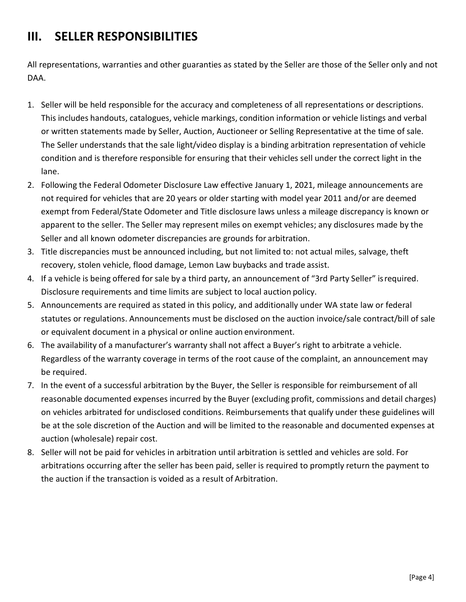## <span id="page-5-0"></span>**III. SELLER RESPONSIBILITIES**

All representations, warranties and other guaranties as stated by the Seller are those of the Seller only and not DAA.

- 1. Seller will be held responsible for the accuracy and completeness of all representations or descriptions. This includes handouts, catalogues, vehicle markings, condition information or vehicle listings and verbal or written statements made by Seller, Auction, Auctioneer or Selling Representative at the time of sale. The Seller understands that the sale light/video display is a binding arbitration representation of vehicle condition and is therefore responsible for ensuring that their vehicles sell under the correct light in the lane.
- 2. Following the Federal Odometer Disclosure Law effective January 1, 2021, mileage announcements are not required for vehicles that are 20 years or older starting with model year 2011 and/or are deemed exempt from Federal/State Odometer and Title disclosure laws unless a mileage discrepancy is known or apparent to the seller. The Seller may represent miles on exempt vehicles; any disclosures made by the Seller and all known odometer discrepancies are grounds for arbitration.
- 3. Title discrepancies must be announced including, but not limited to: not actual miles, salvage, theft recovery, stolen vehicle, flood damage, Lemon Law buybacks and trade assist.
- 4. If a vehicle is being offered for sale by a third party, an announcement of "3rd Party Seller" isrequired. Disclosure requirements and time limits are subject to local auction policy.
- 5. Announcements are required as stated in this policy, and additionally under WA state law or federal statutes or regulations. Announcements must be disclosed on the auction invoice/sale contract/bill of sale or equivalent document in a physical or online auction environment.
- 6. The availability of a manufacturer's warranty shall not affect a Buyer's right to arbitrate a vehicle. Regardless of the warranty coverage in terms of the root cause of the complaint, an announcement may be required.
- 7. In the event of a successful arbitration by the Buyer, the Seller is responsible for reimbursement of all reasonable documented expenses incurred by the Buyer (excluding profit, commissions and detail charges) on vehicles arbitrated for undisclosed conditions. Reimbursements that qualify under these guidelines will be at the sole discretion of the Auction and will be limited to the reasonable and documented expenses at auction (wholesale) repair cost.
- 8. Seller will not be paid for vehicles in arbitration until arbitration is settled and vehicles are sold. For arbitrations occurring after the seller has been paid, seller is required to promptly return the payment to the auction if the transaction is voided as a result of Arbitration.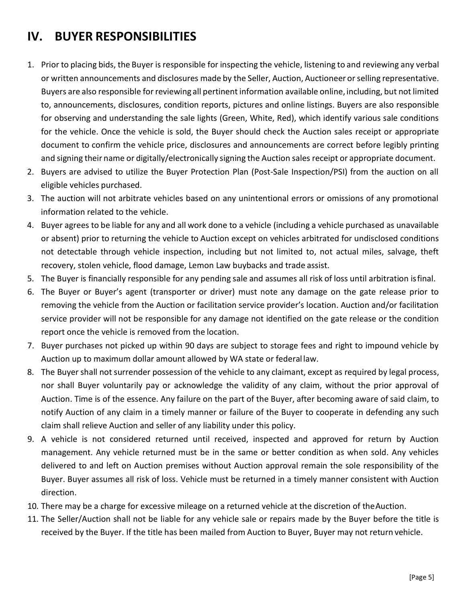## <span id="page-6-0"></span>**IV. BUYER RESPONSIBILITIES**

- 1. Prior to placing bids, the Buyer is responsible for inspecting the vehicle, listening to and reviewing any verbal or written announcements and disclosures made by the Seller, Auction, Auctioneer orselling representative. Buyers are also responsible forreviewing all pertinentinformation available online, including, but not limited to, announcements, disclosures, condition reports, pictures and online listings. Buyers are also responsible for observing and understanding the sale lights (Green, White, Red), which identify various sale conditions for the vehicle. Once the vehicle is sold, the Buyer should check the Auction sales receipt or appropriate document to confirm the vehicle price, disclosures and announcements are correct before legibly printing and signing their name or digitally/electronically signing the Auction sales receipt or appropriate document.
- 2. Buyers are advised to utilize the Buyer Protection Plan (Post-Sale Inspection/PSI) from the auction on all eligible vehicles purchased.
- 3. The auction will not arbitrate vehicles based on any unintentional errors or omissions of any promotional information related to the vehicle.
- 4. Buyer agrees to be liable for any and all work done to a vehicle (including a vehicle purchased as unavailable or absent) prior to returning the vehicle to Auction except on vehicles arbitrated for undisclosed conditions not detectable through vehicle inspection, including but not limited to, not actual miles, salvage, theft recovery, stolen vehicle, flood damage, Lemon Law buybacks and trade assist.
- 5. The Buyer is financially responsible for any pending sale and assumes all risk of loss until arbitration isfinal.
- 6. The Buyer or Buyer's agent (transporter or driver) must note any damage on the gate release prior to removing the vehicle from the Auction or facilitation service provider's location. Auction and/or facilitation service provider will not be responsible for any damage not identified on the gate release or the condition report once the vehicle is removed from the location.
- 7. Buyer purchases not picked up within 90 days are subject to storage fees and right to impound vehicle by Auction up to maximum dollar amount allowed by WA state or federal law.
- 8. The Buyer shall not surrender possession of the vehicle to any claimant, except as required by legal process, nor shall Buyer voluntarily pay or acknowledge the validity of any claim, without the prior approval of Auction. Time is of the essence. Any failure on the part of the Buyer, after becoming aware of said claim, to notify Auction of any claim in a timely manner or failure of the Buyer to cooperate in defending any such claim shall relieve Auction and seller of any liability under this policy.
- 9. A vehicle is not considered returned until received, inspected and approved for return by Auction management. Any vehicle returned must be in the same or better condition as when sold. Any vehicles delivered to and left on Auction premises without Auction approval remain the sole responsibility of the Buyer. Buyer assumes all risk of loss. Vehicle must be returned in a timely manner consistent with Auction direction.
- 10. There may be a charge for excessive mileage on a returned vehicle at the discretion of theAuction.
- 11. The Seller/Auction shall not be liable for any vehicle sale or repairs made by the Buyer before the title is received by the Buyer. If the title has been mailed from Auction to Buyer, Buyer may not return vehicle.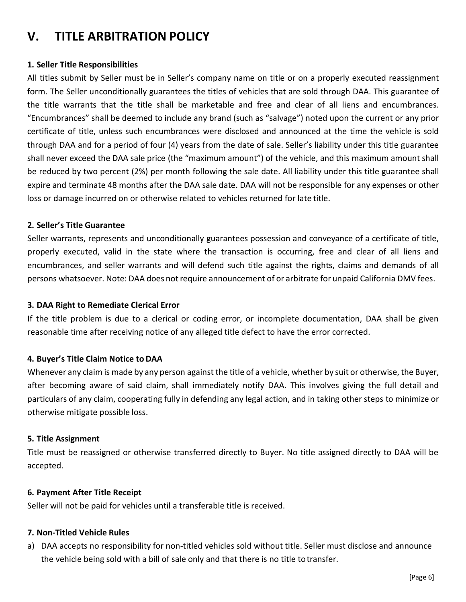## <span id="page-7-0"></span>**V. TITLE ARBITRATION POLICY**

#### **1. Seller Title Responsibilities**

All titles submit by Seller must be in Seller's company name on title or on a properly executed reassignment form. The Seller unconditionally guarantees the titles of vehicles that are sold through DAA. This guarantee of the title warrants that the title shall be marketable and free and clear of all liens and encumbrances. "Encumbrances" shall be deemed to include any brand (such as "salvage") noted upon the current or any prior certificate of title, unless such encumbrances were disclosed and announced at the time the vehicle is sold through DAA and for a period of four (4) years from the date of sale. Seller's liability under this title guarantee shall never exceed the DAA sale price (the "maximum amount") of the vehicle, and this maximum amount shall be reduced by two percent (2%) per month following the sale date. All liability under this title guarantee shall expire and terminate 48 months after the DAA sale date. DAA will not be responsible for any expenses or other loss or damage incurred on or otherwise related to vehicles returned for late title.

#### **2. Seller's Title Guarantee**

Seller warrants, represents and unconditionally guarantees possession and conveyance of a certificate of title, properly executed, valid in the state where the transaction is occurring, free and clear of all liens and encumbrances, and seller warrants and will defend such title against the rights, claims and demands of all persons whatsoever. Note: DAA does not require announcement of or arbitrate for unpaid California DMV fees.

#### **3. DAA Right to Remediate Clerical Error**

If the title problem is due to a clerical or coding error, or incomplete documentation, DAA shall be given reasonable time after receiving notice of any alleged title defect to have the error corrected.

#### **4. Buyer's Title Claim Notice to DAA**

Whenever any claim is made by any person against the title of a vehicle, whether by suit or otherwise, the Buyer, after becoming aware of said claim, shall immediately notify DAA. This involves giving the full detail and particulars of any claim, cooperating fully in defending any legal action, and in taking other steps to minimize or otherwise mitigate possible loss.

#### **5. Title Assignment**

Title must be reassigned or otherwise transferred directly to Buyer. No title assigned directly to DAA will be accepted.

#### **6. Payment After Title Receipt**

Seller will not be paid for vehicles until a transferable title is received.

#### **7. Non-Titled Vehicle Rules**

a) DAA accepts no responsibility for non-titled vehicles sold without title. Seller must disclose and announce the vehicle being sold with a bill of sale only and that there is no title totransfer.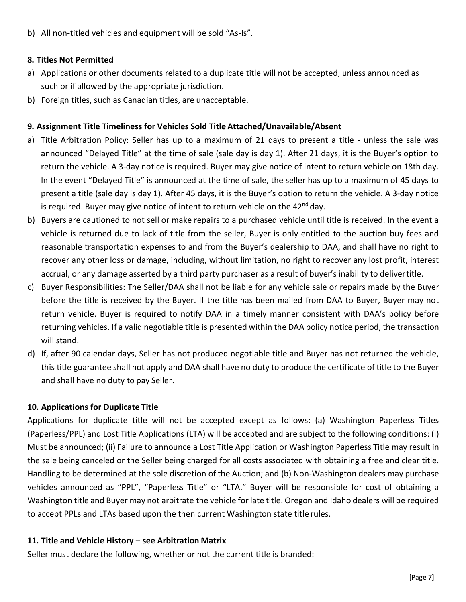b) All non-titled vehicles and equipment will be sold "As-Is".

#### **8. Titles Not Permitted**

- a) Applications or other documents related to a duplicate title will not be accepted, unless announced as such or if allowed by the appropriate jurisdiction.
- b) Foreign titles, such as Canadian titles, are unacceptable.

#### **9. Assignment Title Timeliness for Vehicles Sold Title Attached/Unavailable/Absent**

- a) Title Arbitration Policy: Seller has up to a maximum of 21 days to present a title unless the sale was announced "Delayed Title" at the time of sale (sale day is day 1). After 21 days, it is the Buyer's option to return the vehicle. A 3-day notice is required. Buyer may give notice of intent to return vehicle on 18th day. In the event "Delayed Title" is announced at the time of sale, the seller has up to a maximum of 45 days to present a title (sale day is day 1). After 45 days, it is the Buyer's option to return the vehicle. A 3-day notice is required. Buyer may give notice of intent to return vehicle on the  $42^{nd}$  day.
- b) Buyers are cautioned to not sell or make repairs to a purchased vehicle until title is received. In the event a vehicle is returned due to lack of title from the seller, Buyer is only entitled to the auction buy fees and reasonable transportation expenses to and from the Buyer's dealership to DAA, and shall have no right to recover any other loss or damage, including, without limitation, no right to recover any lost profit, interest accrual, or any damage asserted by a third party purchaser as a result of buyer's inability to delivertitle.
- c) Buyer Responsibilities: The Seller/DAA shall not be liable for any vehicle sale or repairs made by the Buyer before the title is received by the Buyer. If the title has been mailed from DAA to Buyer, Buyer may not return vehicle. Buyer is required to notify DAA in a timely manner consistent with DAA's policy before returning vehicles. If a valid negotiable title is presented within the DAA policy notice period, the transaction will stand.
- d) If, after 90 calendar days, Seller has not produced negotiable title and Buyer has not returned the vehicle, this title guarantee shall not apply and DAA shall have no duty to produce the certificate of title to the Buyer and shall have no duty to pay Seller.

#### **10. Applications for Duplicate Title**

Applications for duplicate title will not be accepted except as follows: (a) Washington Paperless Titles (Paperless/PPL) and Lost Title Applications (LTA) will be accepted and are subject to the following conditions: (i) Must be announced; (ii) Failure to announce a Lost Title Application or Washington Paperless Title may result in the sale being canceled or the Seller being charged for all costs associated with obtaining a free and clear title. Handling to be determined at the sole discretion of the Auction; and (b) Non-Washington dealers may purchase vehicles announced as "PPL", "Paperless Title" or "LTA." Buyer will be responsible for cost of obtaining a Washington title and Buyer may not arbitrate the vehicle for late title. Oregon and Idaho dealers will be required to accept PPLs and LTAs based upon the then current Washington state title rules.

#### **11. Title and Vehicle History – see Arbitration Matrix**

Seller must declare the following, whether or not the current title is branded: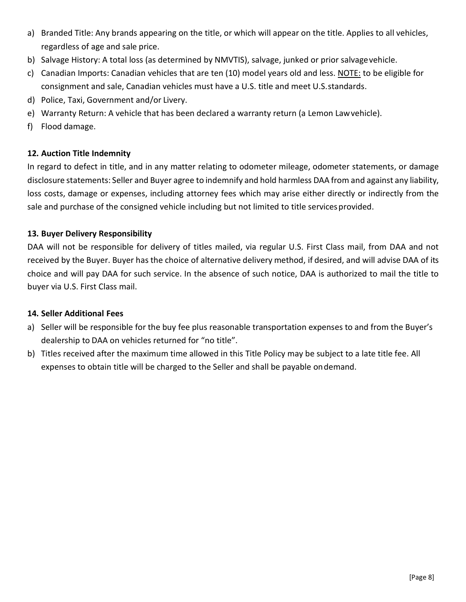- a) Branded Title: Any brands appearing on the title, or which will appear on the title. Applies to all vehicles, regardless of age and sale price.
- b) Salvage History: A total loss (as determined by NMVTIS), salvage, junked or prior salvagevehicle.
- c) Canadian Imports: Canadian vehicles that are ten (10) model years old and less. NOTE: to be eligible for consignment and sale, Canadian vehicles must have a U.S. title and meet U.S.standards.
- d) Police, Taxi, Government and/or Livery.
- e) Warranty Return: A vehicle that has been declared a warranty return (a Lemon Lawvehicle).
- f) Flood damage.

#### **12. Auction Title Indemnity**

In regard to defect in title, and in any matter relating to odometer mileage, odometer statements, or damage disclosure statements: Seller and Buyer agree to indemnify and hold harmless DAA from and against any liability, loss costs, damage or expenses, including attorney fees which may arise either directly or indirectly from the sale and purchase of the consigned vehicle including but not limited to title services provided.

#### **13. Buyer Delivery Responsibility**

DAA will not be responsible for delivery of titles mailed, via regular U.S. First Class mail, from DAA and not received by the Buyer. Buyer has the choice of alternative delivery method, if desired, and will advise DAA of its choice and will pay DAA for such service. In the absence of such notice, DAA is authorized to mail the title to buyer via U.S. First Class mail.

#### **14. Seller Additional Fees**

- a) Seller will be responsible for the buy fee plus reasonable transportation expenses to and from the Buyer's dealership to DAA on vehicles returned for "no title".
- b) Titles received after the maximum time allowed in this Title Policy may be subject to a late title fee. All expenses to obtain title will be charged to the Seller and shall be payable ondemand.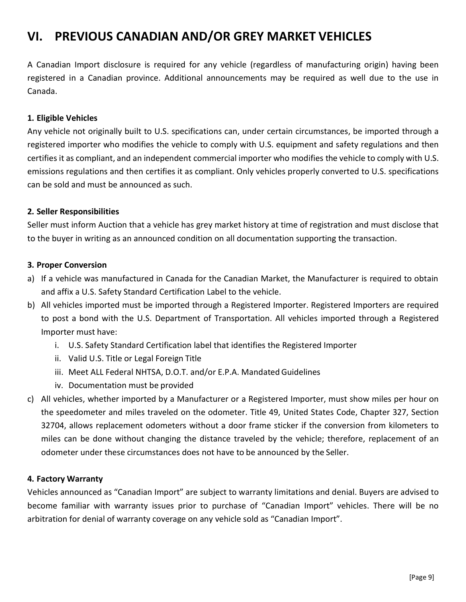## <span id="page-10-0"></span>**VI. PREVIOUS CANADIAN AND/OR GREY MARKET VEHICLES**

A Canadian Import disclosure is required for any vehicle (regardless of manufacturing origin) having been registered in a Canadian province. Additional announcements may be required as well due to the use in Canada.

#### **1. Eligible Vehicles**

Any vehicle not originally built to U.S. specifications can, under certain circumstances, be imported through a registered importer who modifies the vehicle to comply with U.S. equipment and safety regulations and then certifies it as compliant, and an independent commercial importer who modifies the vehicle to comply with U.S. emissions regulations and then certifies it as compliant. Only vehicles properly converted to U.S. specifications can be sold and must be announced as such.

#### **2. Seller Responsibilities**

Seller must inform Auction that a vehicle has grey market history at time of registration and must disclose that to the buyer in writing as an announced condition on all documentation supporting the transaction.

#### **3. Proper Conversion**

- a) If a vehicle was manufactured in Canada for the Canadian Market, the Manufacturer is required to obtain and affix a U.S. Safety Standard Certification Label to the vehicle.
- b) All vehicles imported must be imported through a Registered Importer. Registered Importers are required to post a bond with the U.S. Department of Transportation. All vehicles imported through a Registered Importer must have:
	- i. U.S. Safety Standard Certification label that identifies the Registered Importer
	- ii. Valid U.S. Title or Legal Foreign Title
	- iii. Meet ALL Federal NHTSA, D.O.T. and/or E.P.A. Mandated Guidelines
	- iv. Documentation must be provided
- c) All vehicles, whether imported by a Manufacturer or a Registered Importer, must show miles per hour on the speedometer and miles traveled on the odometer. Title 49, United States Code, Chapter 327, Section 32704, allows replacement odometers without a door frame sticker if the conversion from kilometers to miles can be done without changing the distance traveled by the vehicle; therefore, replacement of an odometer under these circumstances does not have to be announced by the Seller.

#### **4. Factory Warranty**

Vehicles announced as "Canadian Import" are subject to warranty limitations and denial. Buyers are advised to become familiar with warranty issues prior to purchase of "Canadian Import" vehicles. There will be no arbitration for denial of warranty coverage on any vehicle sold as "Canadian Import".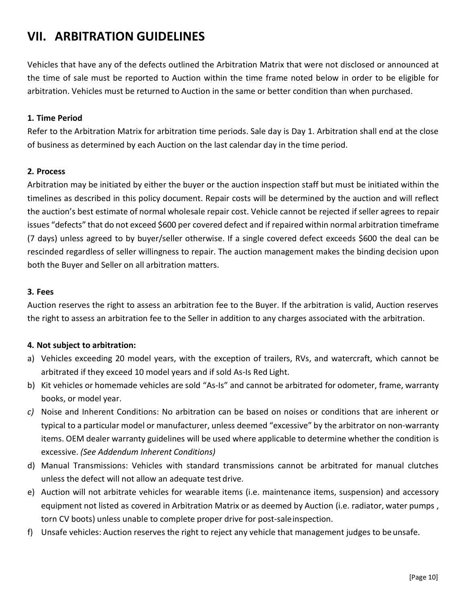## <span id="page-11-0"></span>**VII. ARBITRATION GUIDELINES**

Vehicles that have any of the defects outlined the Arbitration Matrix that were not disclosed or announced at the time of sale must be reported to Auction within the time frame noted below in order to be eligible for arbitration. Vehicles must be returned to Auction in the same or better condition than when purchased.

#### **1. Time Period**

Refer to the Arbitration Matrix for arbitration time periods. Sale day is Day 1. Arbitration shall end at the close of business as determined by each Auction on the last calendar day in the time period.

#### **2. Process**

Arbitration may be initiated by either the buyer or the auction inspection staff but must be initiated within the timelines as described in this policy document. Repair costs will be determined by the auction and will reflect the auction's best estimate of normal wholesale repair cost. Vehicle cannot be rejected ifseller agrees to repair issues "defects" that do not exceed \$600 per covered defect and if repaired within normal arbitration timeframe (7 days) unless agreed to by buyer/seller otherwise. If a single covered defect exceeds \$600 the deal can be rescinded regardless of seller willingness to repair. The auction management makes the binding decision upon both the Buyer and Seller on all arbitration matters.

#### **3. Fees**

Auction reserves the right to assess an arbitration fee to the Buyer. If the arbitration is valid, Auction reserves the right to assess an arbitration fee to the Seller in addition to any charges associated with the arbitration.

#### **4. Not subject to arbitration:**

- a) Vehicles exceeding 20 model years, with the exception of trailers, RVs, and watercraft, which cannot be arbitrated if they exceed 10 model years and if sold As-Is Red Light.
- b) Kit vehicles or homemade vehicles are sold "As-Is" and cannot be arbitrated for odometer, frame, warranty books, or model year.
- *c)* Noise and Inherent Conditions: No arbitration can be based on noises or conditions that are inherent or typical to a particular model or manufacturer, unless deemed "excessive" by the arbitrator on non-warranty items. OEM dealer warranty guidelines will be used where applicable to determine whether the condition is excessive. *(See Addendum Inherent Conditions)*
- d) Manual Transmissions: Vehicles with standard transmissions cannot be arbitrated for manual clutches unless the defect will not allow an adequate test drive.
- e) Auction will not arbitrate vehicles for wearable items (i.e. maintenance items, suspension) and accessory equipment not listed as covered in Arbitration Matrix or as deemed by Auction (i.e. radiator, water pumps, torn CV boots) unless unable to complete proper drive for post-saleinspection.
- f) Unsafe vehicles: Auction reserves the right to reject any vehicle that management judges to beunsafe.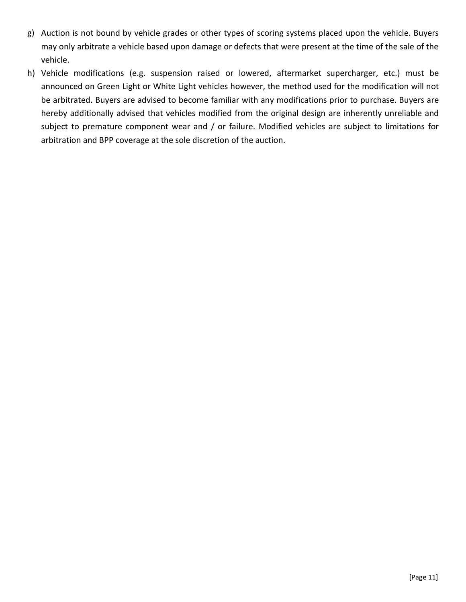- g) Auction is not bound by vehicle grades or other types of scoring systems placed upon the vehicle. Buyers may only arbitrate a vehicle based upon damage or defects that were present at the time of the sale of the vehicle.
- h) Vehicle modifications (e.g. suspension raised or lowered, aftermarket supercharger, etc.) must be announced on Green Light or White Light vehicles however, the method used for the modification will not be arbitrated. Buyers are advised to become familiar with any modifications prior to purchase. Buyers are hereby additionally advised that vehicles modified from the original design are inherently unreliable and subject to premature component wear and / or failure. Modified vehicles are subject to limitations for arbitration and BPP coverage at the sole discretion of the auction.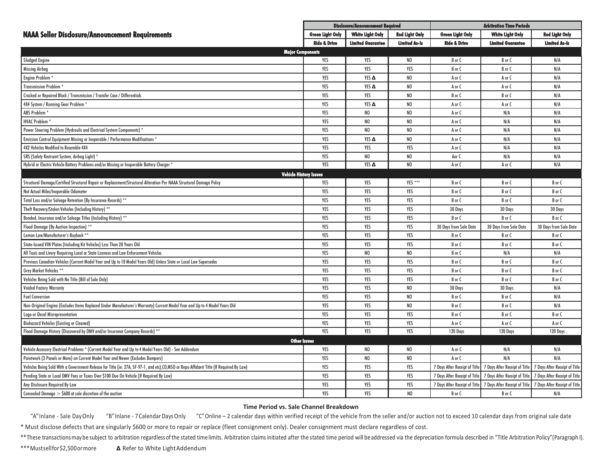|                                                                                                                                          | <b>Disclosure/Announcement Required</b> |                          |                       | <b>Arbitration Time Periods</b> |                               |                               |
|------------------------------------------------------------------------------------------------------------------------------------------|-----------------------------------------|--------------------------|-----------------------|---------------------------------|-------------------------------|-------------------------------|
| <b>NAAA Seller Disclosure/Announcement Requirements</b>                                                                                  | <b>Green Light Only</b>                 | <b>White Light Only</b>  | <b>Red Light Only</b> | <b>Green Light Only</b>         | <b>White Light Only</b>       | <b>Red Light Only</b>         |
|                                                                                                                                          | <b>Ride &amp; Drive</b>                 | <b>Limited Guarantee</b> | <b>Limited As-Is</b>  | <b>Ride &amp; Drive</b>         | <b>Limited Guarantee</b>      | <b>Limited As-Is</b>          |
| <b>Major Components</b>                                                                                                                  |                                         |                          |                       |                                 |                               |                               |
| <b>Sludged Engine</b>                                                                                                                    | YES                                     | YES                      | N <sub>0</sub>        | B or C                          | B or C                        | N/A                           |
| <b>Missing Airbag</b>                                                                                                                    | YES                                     | YES                      | YES                   | B or C                          | B or C                        | N/A                           |
| Engine Problem                                                                                                                           | YES                                     | YES A                    | N <sub>0</sub>        | A or C                          | A or C                        | N/A                           |
| <b>Transmission Problem</b>                                                                                                              | YES                                     | YES A                    | N <sub>0</sub>        | A or C                          | A or C                        | N/A                           |
| Cracked or Repaired Block / Transmission / Transfer Case / Differentials                                                                 | YES                                     | YES                      | N <sub>0</sub>        | B or C                          | B or C                        | N/A                           |
| 4X4 System / Running Gear Problem *                                                                                                      | YES                                     | YES A                    | N <sub>0</sub>        | A or C                          | A or C                        | N/A                           |
| ABS Problem <sup>*</sup>                                                                                                                 | YES                                     | NO                       | N <sub>0</sub>        | A or C                          | N/A                           | N/A                           |
| <b>HVAC Problem</b>                                                                                                                      | YES                                     | NO                       | N <sub>0</sub>        | A or C                          | N/A                           | N/A                           |
| Power Steering Problem (Hydraulic and Electrical System Components) *                                                                    | YES                                     | N <sub>0</sub>           | N <sub>0</sub>        | A or C                          | N/A                           | N/A                           |
| Emission Control Equipment Missing or Inoperable / Performance Modifications *                                                           | YES                                     | YES A                    | N <sub>0</sub>        | A or C                          | N/A                           | N/A                           |
| 4X2 Vehicles Modified to Resemble 4X4                                                                                                    | YES                                     | YES                      | YES                   | A or C                          | N/A                           | N/A                           |
| SRS (Safety Restraint System, Airbag Light) *                                                                                            | YES                                     | NO                       | N <sub>0</sub>        | Aor C                           | N/A                           | N/A                           |
| Hybrid or Electric Vehicle Battery Problems and/or Missing or Inoperable Battery Charger *                                               | YES                                     | YES A                    | N <sub>0</sub>        | A or C                          | A or C                        | N/A                           |
| <b>Vehicle History Issues</b>                                                                                                            |                                         |                          |                       |                                 |                               |                               |
| Structural Damage/Certified Structural Repair or Replacement/Structural Alteration Per NAAA Structural Damage Policy                     | YES                                     | YES                      | YES ***               | B or C                          | B or C                        | B or C                        |
| Not Actual Miles/Inoperable Odometer                                                                                                     | YES                                     | YES                      | YES                   | B or C                          | B or C                        | B or C                        |
| Total Loss and/or Salvage Retention (By Insurance Records) **                                                                            | YES                                     | YES                      | YES                   | B or C                          | B or C                        | B or C                        |
| Theft Recovery/Stolen Vehicles (Including History) **                                                                                    | YES                                     | YES                      | YES                   | 30 Days                         | 30 Days                       | 30 Days                       |
| Bonded, Insurance and/or Salvage Titles (Including History) **                                                                           | YES                                     | YES                      | YES                   | B or C                          | B or C                        | B or C                        |
| Flood Damage (By Auction Inspection) **                                                                                                  | YES                                     | YES                      | YES                   | 30 Days from Sale Date          | 30 Days from Sale Date        | 30 Days from Sale Date        |
| Lemon Law/Manufacturer's Buyback **                                                                                                      | YES                                     | YES                      | YES                   | B or C                          | B or C                        | B or C                        |
| State-Issued VIN Plates (Including Kit Vehicles) Less Than 20 Years Old                                                                  | YES                                     | YES                      | YES                   | B or C                          | B or C                        | B or C                        |
| All Taxis and Livery Requiring Local or State Licenses and Law Enforcement Vehicles                                                      | YES                                     | NO                       | N <sub>0</sub>        | B or C                          | N/A                           | N/A                           |
| Previous Canadian Vehicles (Current Model Year and Up to 10 Model Years Old) Unless State or Local Law Supersedes                        | YES                                     | YES                      | YES                   | B or C                          | B or C                        | B or C                        |
| Grey Market Vehicles **                                                                                                                  | YES                                     | YES                      | YES                   | B or C                          | B or C                        | B or C                        |
| Vehicles Being Sold with No Title (Bill of Sale Only)                                                                                    | YES                                     | YES                      | YES                   | B or C                          | B or C                        | B or C                        |
| <b>Voided Factory Warranty</b>                                                                                                           | YES                                     | YES                      | N <sub>0</sub>        | 30 Days                         | 30 Days                       | N/A                           |
| <b>Fuel Conversion</b>                                                                                                                   | YES                                     | YES                      | N <sub>0</sub>        | B or C                          | B or C                        | N/A                           |
| Non-Original Engine (Excludes Items Replaced Under Manufacturer's Warranty) Current Model Year and Up to 4 Model Years Old               | YES                                     | YES                      | N <sub>0</sub>        | B or C                          | B or C                        | N/A                           |
| Logo or Decal Misrepresentation                                                                                                          | YES                                     | YES                      | YES                   | B or C                          | B or C                        | B or C                        |
| <b>Biohazard Vehicles (Existina or Cleaned)</b>                                                                                          | YES                                     | YES                      | YES                   | A or C                          | A or C                        | A or C                        |
| Flood Damage History (Discovered by DMV and/or Insurance Company Records) **                                                             | YES                                     | YES                      | YES                   | 120 Days                        | 120 Days                      | 120 Days                      |
| <b>Other Issues</b>                                                                                                                      |                                         |                          |                       |                                 |                               |                               |
| Vehicle Accessory Electrical Problems * (Current Model Year and Up to 4 Model Years Old) - See Addendum                                  | YES                                     | NO                       | N <sub>0</sub>        | A or C                          | N/A                           | N/A                           |
| Paintwork (3 Panels or More) on Current Model Year and Newer (Excludes Bumpers)                                                          | YES                                     | NO                       | N <sub>0</sub>        | A or C                          | N/A                           | N/A                           |
| Vehicles Being Sold With a Government Release for Title (ie: 27A, SF-97-1, and etc), CO,MSO or Repo Affidavit Title (If Required By Law) | YES                                     | YES                      | YES                   | 7 Days After Receipt of Title   | 7 Days After Receipt of Title | 7 Days After Receipt of Title |
| Pending State or Local DMV Fees or Taxes Over \$100 Due On Vehicle (If Required By Law)                                                  | YES                                     | YES                      | YES                   | 7 Days After Receipt of Title   | 7 Days After Receipt of Title | 7 Days After Receipt of Title |
| Any Disclosure Required By Law                                                                                                           | YES                                     | YES                      | YES                   | 7 Days After Receipt of Title   | 7 Days After Receipt of Title | 7 Days After Receipt of Title |
| Concealed Damage $>$ \$600 at sole discretion of the auction                                                                             | YES                                     | YES                      | N <sub>0</sub>        | B or C                          | B or C                        | N/A                           |

#### **Time Period vs. Sale Channel Breakdown**

"A" Inlane - Sale DayOnly "B" Inlane - 7 Calendar Days Only "C" Online - 2 calendar days within verified receipt of the vehicle from the seller and/or auction not to exceed 10 calendar days from original sale date

\* Must disclose defects that are singularly \$600 or more to repair or replace (fleet consignment only). Dealer consignment must declare regardless of cost.

\*\* These transactions may be subject to arbitration regardless of the stated time limits. Arbitration claims initiated after the stated time period will be addressed via the depreciation formula described in "Title Arbitra

\*\*\*Mustsellfor\$2,500ormore **∆** Refer to White LightAddendum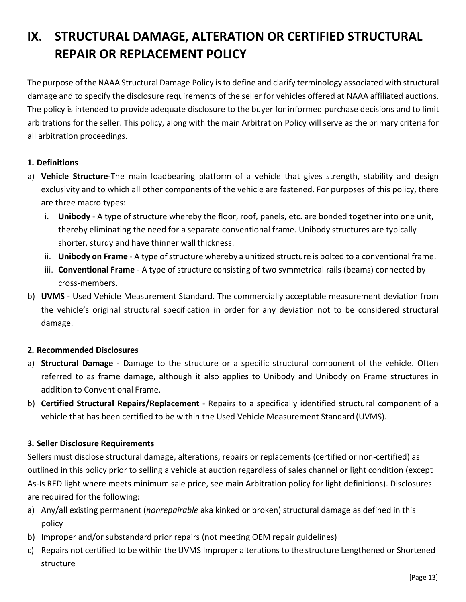## <span id="page-14-0"></span>**IX. STRUCTURAL DAMAGE, ALTERATION OR CERTIFIED STRUCTURAL REPAIR OR REPLACEMENT POLICY**

The purpose of the NAAA Structural Damage Policy is to define and clarify terminology associated with structural damage and to specify the disclosure requirements of the seller for vehicles offered at NAAA affiliated auctions. The policy is intended to provide adequate disclosure to the buyer for informed purchase decisions and to limit arbitrations for the seller. This policy, along with the main Arbitration Policy will serve as the primary criteria for all arbitration proceedings.

#### **1. Definitions**

- a) **Vehicle Structure**-The main loadbearing platform of a vehicle that gives strength, stability and design exclusivity and to which all other components of the vehicle are fastened. For purposes of this policy, there are three macro types:
	- i. **Unibody**  A type of structure whereby the floor, roof, panels, etc. are bonded together into one unit, thereby eliminating the need for a separate conventional frame. Unibody structures are typically shorter, sturdy and have thinner wall thickness.
	- ii. **Unibody on Frame** A type of structure whereby a unitized structure is bolted to a conventional frame.
	- iii. **Conventional Frame**  A type of structure consisting of two symmetrical rails (beams) connected by cross-members.
- b) **UVMS**  Used Vehicle Measurement Standard. The commercially acceptable measurement deviation from the vehicle's original structural specification in order for any deviation not to be considered structural damage.

#### **2. Recommended Disclosures**

- a) **Structural Damage**  Damage to the structure or a specific structural component of the vehicle. Often referred to as frame damage, although it also applies to Unibody and Unibody on Frame structures in addition to Conventional Frame.
- b) **Certified Structural Repairs/Replacement**  Repairs to a specifically identified structural component of a vehicle that has been certified to be within the Used Vehicle Measurement Standard (UVMS).

#### **3. Seller Disclosure Requirements**

Sellers must disclose structural damage, alterations, repairs or replacements (certified or non-certified) as outlined in this policy prior to selling a vehicle at auction regardless of sales channel or light condition (except As-Is RED light where meets minimum sale price, see main Arbitration policy for light definitions). Disclosures are required for the following:

- a) Any/all existing permanent (*nonrepairable* aka kinked or broken) structural damage as defined in this policy
- b) Improper and/or substandard prior repairs (not meeting OEM repair guidelines)
- c) Repairs not certified to be within the UVMS Improper alterations to the structure Lengthened or Shortened structure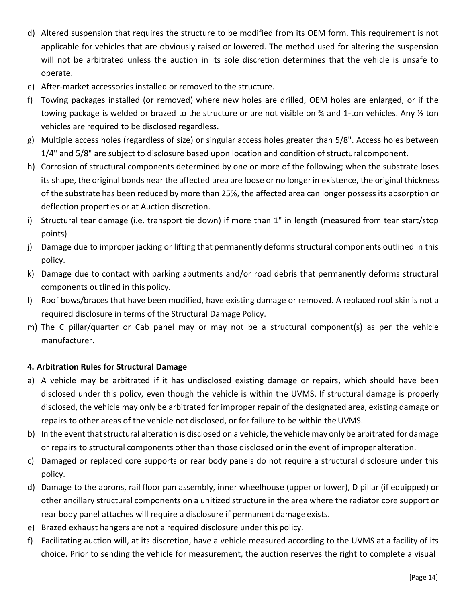- d) Altered suspension that requires the structure to be modified from its OEM form. This requirement is not applicable for vehicles that are obviously raised or lowered. The method used for altering the suspension will not be arbitrated unless the auction in its sole discretion determines that the vehicle is unsafe to operate.
- e) After-market accessories installed or removed to the structure.
- f) Towing packages installed (or removed) where new holes are drilled, OEM holes are enlarged, or if the towing package is welded or brazed to the structure or are not visible on ¾ and 1-ton vehicles. Any ½ ton vehicles are required to be disclosed regardless.
- g) Multiple access holes (regardless of size) or singular access holes greater than 5/8". Access holes between 1/4" and 5/8" are subject to disclosure based upon location and condition of structuralcomponent.
- h) Corrosion of structural components determined by one or more of the following; when the substrate loses its shape, the original bonds near the affected area are loose or no longer in existence, the original thickness of the substrate has been reduced by more than 25%, the affected area can longer possess its absorption or deflection properties or at Auction discretion.
- i) Structural tear damage (i.e. transport tie down) if more than 1" in length (measured from tear start/stop points)
- j) Damage due to improper jacking or lifting that permanently deforms structural components outlined in this policy.
- k) Damage due to contact with parking abutments and/or road debris that permanently deforms structural components outlined in this policy.
- l) Roof bows/braces that have been modified, have existing damage or removed. A replaced roof skin is not a required disclosure in terms of the Structural Damage Policy.
- m) The C pillar/quarter or Cab panel may or may not be a structural component(s) as per the vehicle manufacturer.

#### **4. Arbitration Rules for Structural Damage**

- a) A vehicle may be arbitrated if it has undisclosed existing damage or repairs, which should have been disclosed under this policy, even though the vehicle is within the UVMS. If structural damage is properly disclosed, the vehicle may only be arbitrated for improper repair of the designated area, existing damage or repairs to other areas of the vehicle not disclosed, or for failure to be within theUVMS.
- b) In the event that structural alteration is disclosed on a vehicle, the vehicle may only be arbitrated for damage or repairs to structural components other than those disclosed or in the event of improper alteration.
- c) Damaged or replaced core supports or rear body panels do not require a structural disclosure under this policy.
- d) Damage to the aprons, rail floor pan assembly, inner wheelhouse (upper or lower), D pillar (if equipped) or other ancillary structural components on a unitized structure in the area where the radiator core support or rear body panel attaches will require a disclosure if permanent damage exists.
- e) Brazed exhaust hangers are not a required disclosure under this policy.
- f) Facilitating auction will, at its discretion, have a vehicle measured according to the UVMS at a facility of its choice. Prior to sending the vehicle for measurement, the auction reserves the right to complete a visual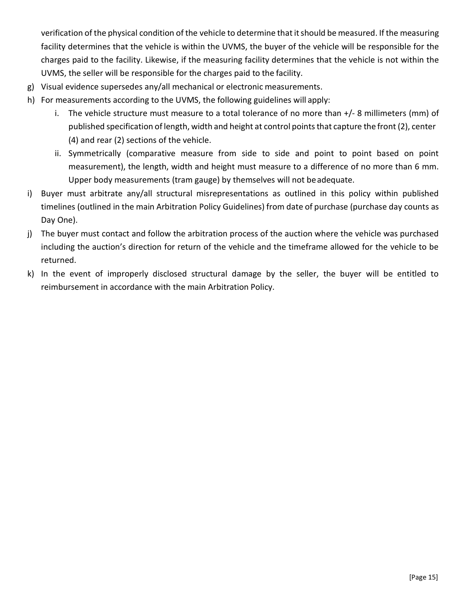verification of the physical condition of the vehicle to determine that it should be measured. If the measuring facility determines that the vehicle is within the UVMS, the buyer of the vehicle will be responsible for the charges paid to the facility. Likewise, if the measuring facility determines that the vehicle is not within the UVMS, the seller will be responsible for the charges paid to the facility.

- g) Visual evidence supersedes any/all mechanical or electronic measurements.
- h) For measurements according to the UVMS, the following guidelines will apply:
	- i. The vehicle structure must measure to a total tolerance of no more than +/- 8 millimeters (mm) of published specification of length, width and height at control pointsthat capture the front (2), center (4) and rear (2) sections of the vehicle.
	- ii. Symmetrically (comparative measure from side to side and point to point based on point measurement), the length, width and height must measure to a difference of no more than 6 mm. Upper body measurements (tram gauge) by themselves will not beadequate.
- i) Buyer must arbitrate any/all structural misrepresentations as outlined in this policy within published timelines (outlined in the main Arbitration Policy Guidelines) from date of purchase (purchase day counts as Day One).
- j) The buyer must contact and follow the arbitration process of the auction where the vehicle was purchased including the auction's direction for return of the vehicle and the timeframe allowed for the vehicle to be returned.
- k) In the event of improperly disclosed structural damage by the seller, the buyer will be entitled to reimbursement in accordance with the main Arbitration Policy.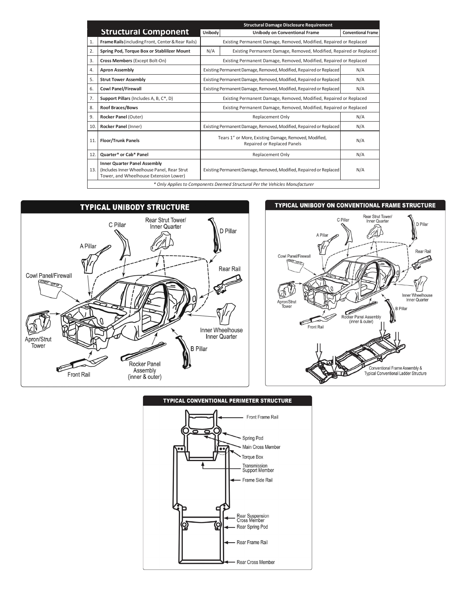|                | <b>Structural Damage Disclosure Requirement</b>                                                                               |                                                                                             |                                                                    |                           |  |  |  |
|----------------|-------------------------------------------------------------------------------------------------------------------------------|---------------------------------------------------------------------------------------------|--------------------------------------------------------------------|---------------------------|--|--|--|
|                | <b>Structural Component</b>                                                                                                   | Unibody                                                                                     | <b>Unibody on Conventional Frame</b>                               | <b>Conventional Frame</b> |  |  |  |
| 1.             | <b>Frame Rails (including Front, Center &amp; Rear Rails)</b>                                                                 |                                                                                             | Existing Permanent Damage, Removed, Modified, Repaired or Replaced |                           |  |  |  |
| 2.             | Spring Pod, Torque Box or Stablilizer Mount                                                                                   | N/A                                                                                         | Existing Permanent Damage, Removed, Modified, Repaired or Replaced |                           |  |  |  |
| 3.             | Cross Members (Except Bolt-On)                                                                                                |                                                                                             | Existing Permanent Damage, Removed, Modified, Repaired or Replaced |                           |  |  |  |
| 4.             | <b>Apron Assembly</b>                                                                                                         | N/A<br>Existing Permanent Damage, Removed, Modified, Repaired or Replaced                   |                                                                    |                           |  |  |  |
| 5.             | <b>Strut Tower Assembly</b>                                                                                                   | Existing Permanent Damage, Removed, Modified, Repaired or Replaced<br>N/A                   |                                                                    |                           |  |  |  |
| 6.             | <b>Cowl Panel/Firewall</b>                                                                                                    | Existing Permanent Damage, Removed, Modified, Repaired or Replaced<br>N/A                   |                                                                    |                           |  |  |  |
| 7 <sub>1</sub> | Support Pillars (Includes A, B, C*, D)                                                                                        | Existing Permanent Damage, Removed, Modified, Repaired or Replaced                          |                                                                    |                           |  |  |  |
| 8.             | <b>Roof Braces/Bows</b>                                                                                                       | Existing Permanent Damage, Removed, Modified, Repaired or Replaced                          |                                                                    |                           |  |  |  |
| 9.             | Rocker Panel (Outer)                                                                                                          | N/A<br>Replacement Only                                                                     |                                                                    |                           |  |  |  |
| 10.            | Rocker Panel (Inner)                                                                                                          | Existing Permanent Damage, Removed, Modified, Repaired or Replaced<br>N/A                   |                                                                    |                           |  |  |  |
| 11.            | <b>Floor/Trunk Panels</b>                                                                                                     | Tears 1" or More, Existing Damage, Removed, Modified,<br>N/A<br>Repaired or Replaced Panels |                                                                    |                           |  |  |  |
| 12.            | <b>Quarter* or Cab* Panel</b>                                                                                                 | N/A<br>Replacement Only                                                                     |                                                                    |                           |  |  |  |
| 13.            | <b>Inner Quarter Panel Assembly</b><br>(Includes Inner Wheelhouse Panel, Rear Strut<br>Tower, and Wheelhouse Extension Lower) |                                                                                             | Existing Permanent Damage, Removed, Modified, Repaired or Replaced | N/A                       |  |  |  |
|                | * Only Applies to Components Deemed Structural Per the Vehicles Manufacturer                                                  |                                                                                             |                                                                    |                           |  |  |  |



#### TYPICAL UNIBODY ON CONVENTIONAL FRAME STRUCTURE





#### **TYPICAL CONVENTIONAL PERIMETER STRUCTURE**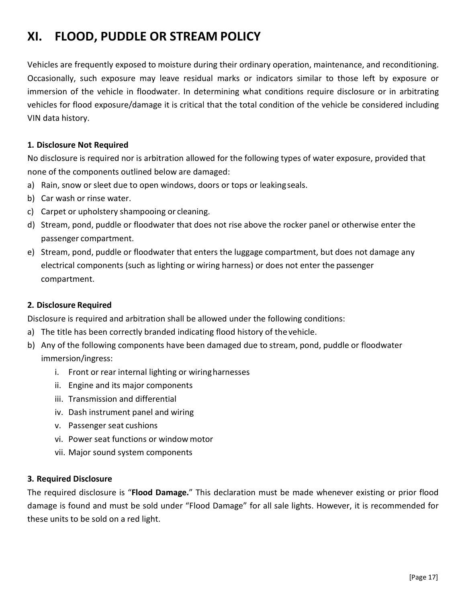## <span id="page-18-0"></span>**XI. FLOOD, PUDDLE OR STREAM POLICY**

Vehicles are frequently exposed to moisture during their ordinary operation, maintenance, and reconditioning. Occasionally, such exposure may leave residual marks or indicators similar to those left by exposure or immersion of the vehicle in floodwater. In determining what conditions require disclosure or in arbitrating vehicles for flood exposure/damage it is critical that the total condition of the vehicle be considered including VIN data history.

#### **1. Disclosure Not Required**

No disclosure is required nor is arbitration allowed for the following types of water exposure, provided that none of the components outlined below are damaged:

- a) Rain, snow or sleet due to open windows, doors or tops or leakingseals.
- b) Car wash or rinse water.
- c) Carpet or upholstery shampooing or cleaning.
- d) Stream, pond, puddle or floodwater that does not rise above the rocker panel or otherwise enter the passenger compartment.
- e) Stream, pond, puddle or floodwater that enters the luggage compartment, but does not damage any electrical components (such as lighting or wiring harness) or does not enter the passenger compartment.

#### **2. Disclosure Required**

Disclosure is required and arbitration shall be allowed under the following conditions:

- a) The title has been correctly branded indicating flood history of the vehicle.
- b) Any of the following components have been damaged due to stream, pond, puddle or floodwater immersion/ingress:
	- i. Front or rear internal lighting or wiringharnesses
	- ii. Engine and its major components
	- iii. Transmission and differential
	- iv. Dash instrument panel and wiring
	- v. Passenger seat cushions
	- vi. Power seat functions or window motor
	- vii. Major sound system components

#### **3. Required Disclosure**

The required disclosure is "**Flood Damage.**" This declaration must be made whenever existing or prior flood damage is found and must be sold under "Flood Damage" for all sale lights. However, it is recommended for these units to be sold on a red light.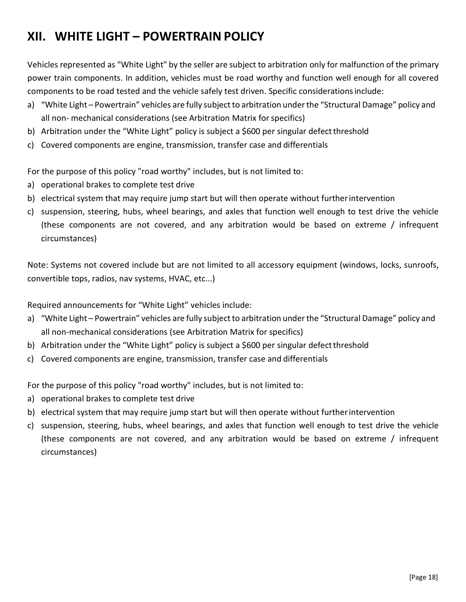## <span id="page-19-0"></span>**XII. WHITE LIGHT – POWERTRAIN POLICY**

Vehicles represented as "White Light" by the seller are subject to arbitration only for malfunction of the primary power train components. In addition, vehicles must be road worthy and function well enough for all covered components to be road tested and the vehicle safely test driven. Specific considerationsinclude:

- a) "White Light Powertrain" vehicles are fully subject to arbitration under the "Structural Damage" policy and all non- mechanical considerations (see Arbitration Matrix for specifics)
- b) Arbitration under the "White Light" policy is subject a \$600 per singular defect threshold
- c) Covered components are engine, transmission, transfer case and differentials

For the purpose of this policy "road worthy" includes, but is not limited to:

- a) operational brakes to complete test drive
- b) electrical system that may require jump start but will then operate without furtherintervention
- c) suspension, steering, hubs, wheel bearings, and axles that function well enough to test drive the vehicle (these components are not covered, and any arbitration would be based on extreme / infrequent circumstances)

Note: Systems not covered include but are not limited to all accessory equipment (windows, locks, sunroofs, convertible tops, radios, nav systems, HVAC, etc...)

Required announcements for "White Light" vehicles include:

- a) "White Light Powertrain" vehicles are fully subject to arbitration under the "Structural Damage" policy and all non-mechanical considerations (see Arbitration Matrix for specifics)
- b) Arbitration under the "White Light" policy is subject a \$600 per singular defect threshold
- c) Covered components are engine, transmission, transfer case and differentials

For the purpose of this policy "road worthy" includes, but is not limited to:

- a) operational brakes to complete test drive
- b) electrical system that may require jump start but will then operate without furtherintervention
- c) suspension, steering, hubs, wheel bearings, and axles that function well enough to test drive the vehicle (these components are not covered, and any arbitration would be based on extreme / infrequent circumstances)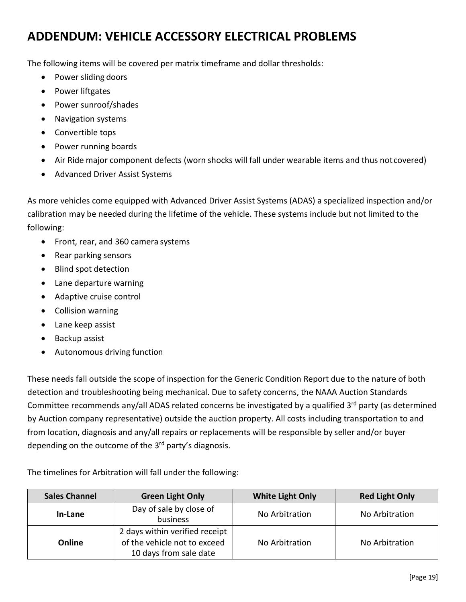## <span id="page-20-0"></span>**ADDENDUM: VEHICLE ACCESSORY ELECTRICAL PROBLEMS**

The following items will be covered per matrix timeframe and dollar thresholds:

- Power sliding doors
- Power liftgates
- Power sunroof/shades
- Navigation systems
- Convertible tops
- Power running boards
- Air Ride major component defects (worn shocks will fall under wearable items and thus not covered)
- Advanced Driver Assist Systems

As more vehicles come equipped with Advanced Driver Assist Systems (ADAS) a specialized inspection and/or calibration may be needed during the lifetime of the vehicle. These systems include but not limited to the following:

- Front, rear, and 360 camera systems
- Rear parking sensors
- Blind spot detection
- Lane departure warning
- Adaptive cruise control
- Collision warning
- Lane keep assist
- Backup assist
- Autonomous driving function

These needs fall outside the scope of inspection for the Generic Condition Report due to the nature of both detection and troubleshooting being mechanical. Due to safety concerns, the NAAA Auction Standards Committee recommends any/all ADAS related concerns be investigated by a qualified 3rd party (as determined by Auction company representative) outside the auction property. All costs including transportation to and from location, diagnosis and any/all repairs or replacements will be responsible by seller and/or buyer depending on the outcome of the  $3<sup>rd</sup>$  party's diagnosis.

The timelines for Arbitration will fall under the following:

| <b>Sales Channel</b> | <b>Green Light Only</b>                                                                  | <b>White Light Only</b> | <b>Red Light Only</b> |  |
|----------------------|------------------------------------------------------------------------------------------|-------------------------|-----------------------|--|
| In-Lane              | Day of sale by close of<br>business                                                      | No Arbitration          | No Arbitration        |  |
| Online               | 2 days within verified receipt<br>of the vehicle not to exceed<br>10 days from sale date | No Arbitration          | No Arbitration        |  |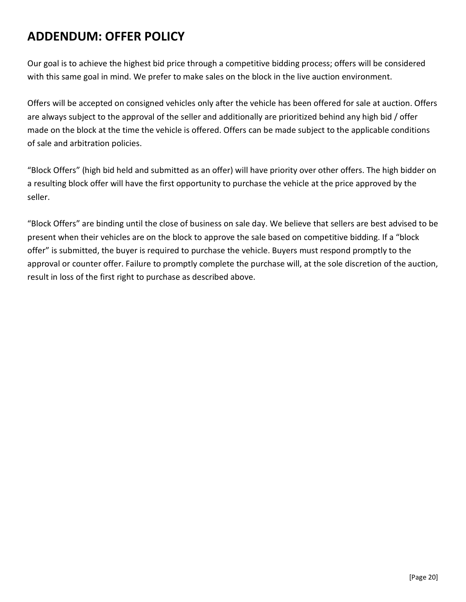## <span id="page-21-0"></span>**ADDENDUM: OFFER POLICY**

Our goal is to achieve the highest bid price through a competitive bidding process; offers will be considered with this same goal in mind. We prefer to make sales on the block in the live auction environment.

Offers will be accepted on consigned vehicles only after the vehicle has been offered for sale at auction. Offers are always subject to the approval of the seller and additionally are prioritized behind any high bid / offer made on the block at the time the vehicle is offered. Offers can be made subject to the applicable conditions of sale and arbitration policies.

"Block Offers" (high bid held and submitted as an offer) will have priority over other offers. The high bidder on a resulting block offer will have the first opportunity to purchase the vehicle at the price approved by the seller.

"Block Offers" are binding until the close of business on sale day. We believe that sellers are best advised to be present when their vehicles are on the block to approve the sale based on competitive bidding. If a "block offer" is submitted, the buyer is required to purchase the vehicle. Buyers must respond promptly to the approval or counter offer. Failure to promptly complete the purchase will, at the sole discretion of the auction, result in loss of the first right to purchase as described above.